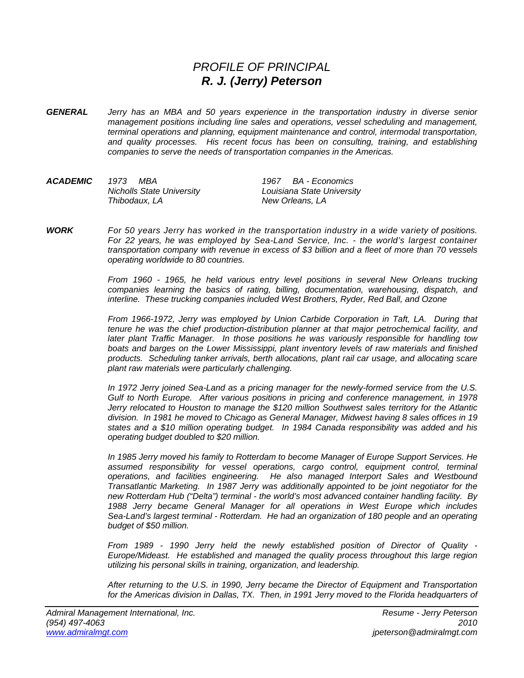## *PROFILE OF PRINCIPAL R. J. (Jerry) Peterson*

*GENERAL Jerry has an MBA and 50 years experience in the transportation industry in diverse senior management positions including line sales and operations, vessel scheduling and management, terminal operations and planning, equipment maintenance and control, intermodal transportation, and quality processes. His recent focus has been on consulting, training, and establishing companies to serve the needs of transportation companies in the Americas.* 

| ACADEMIC | 1973<br>MBA                      | 1967 BA - Economics        |
|----------|----------------------------------|----------------------------|
|          | <b>Nicholls State University</b> | Louisiana State University |
|          | Thibodaux, LA                    | New Orleans. LA            |

*WORK For 50 years Jerry has worked in the transportation industry in a wide variety of positions. For 22 years, he was employed by Sea-Land Service, Inc. - the world's largest container transportation company with revenue in excess of \$3 billion and a fleet of more than 70 vessels operating worldwide to 80 countries.* 

> *From 1960 - 1965, he held various entry level positions in several New Orleans trucking companies learning the basics of rating, billing, documentation, warehousing, dispatch, and interline. These trucking companies included West Brothers, Ryder, Red Ball, and Ozone*

> *From 1966-1972, Jerry was employed by Union Carbide Corporation in Taft, LA. During that tenure he was the chief production-distribution planner at that major petrochemical facility, and later plant Traffic Manager. In those positions he was variously responsible for handling tow boats and barges on the Lower Mississippi, plant inventory levels of raw materials and finished products. Scheduling tanker arrivals, berth allocations, plant rail car usage, and allocating scare plant raw materials were particularly challenging.*

> *In 1972 Jerry joined Sea-Land as a pricing manager for the newly-formed service from the U.S. Gulf to North Europe. After various positions in pricing and conference management, in 1978 Jerry relocated to Houston to manage the \$120 million Southwest sales territory for the Atlantic division. In 1981 he moved to Chicago as General Manager, Midwest having 8 sales offices in 19 states and a \$10 million operating budget. In 1984 Canada responsibility was added and his operating budget doubled to \$20 million.*

> *In 1985 Jerry moved his family to Rotterdam to become Manager of Europe Support Services. He assumed responsibility for vessel operations, cargo control, equipment control, terminal operations, and facilities engineering. He also managed Interport Sales and Westbound Transatlantic Marketing. In 1987 Jerry was additionally appointed to be joint negotiator for the new Rotterdam Hub ("Delta") terminal - the world's most advanced container handling facility. By 1988 Jerry became General Manager for all operations in West Europe which includes Sea-Land's largest terminal - Rotterdam. He had an organization of 180 people and an operating budget of \$50 million.*

> *From 1989 - 1990 Jerry held the newly established position of Director of Quality - Europe/Mideast. He established and managed the quality process throughout this large region utilizing his personal skills in training, organization, and leadership.*

> *After returning to the U.S. in 1990, Jerry became the Director of Equipment and Transportation for the Americas division in Dallas, TX. Then, in 1991 Jerry moved to the Florida headquarters of*